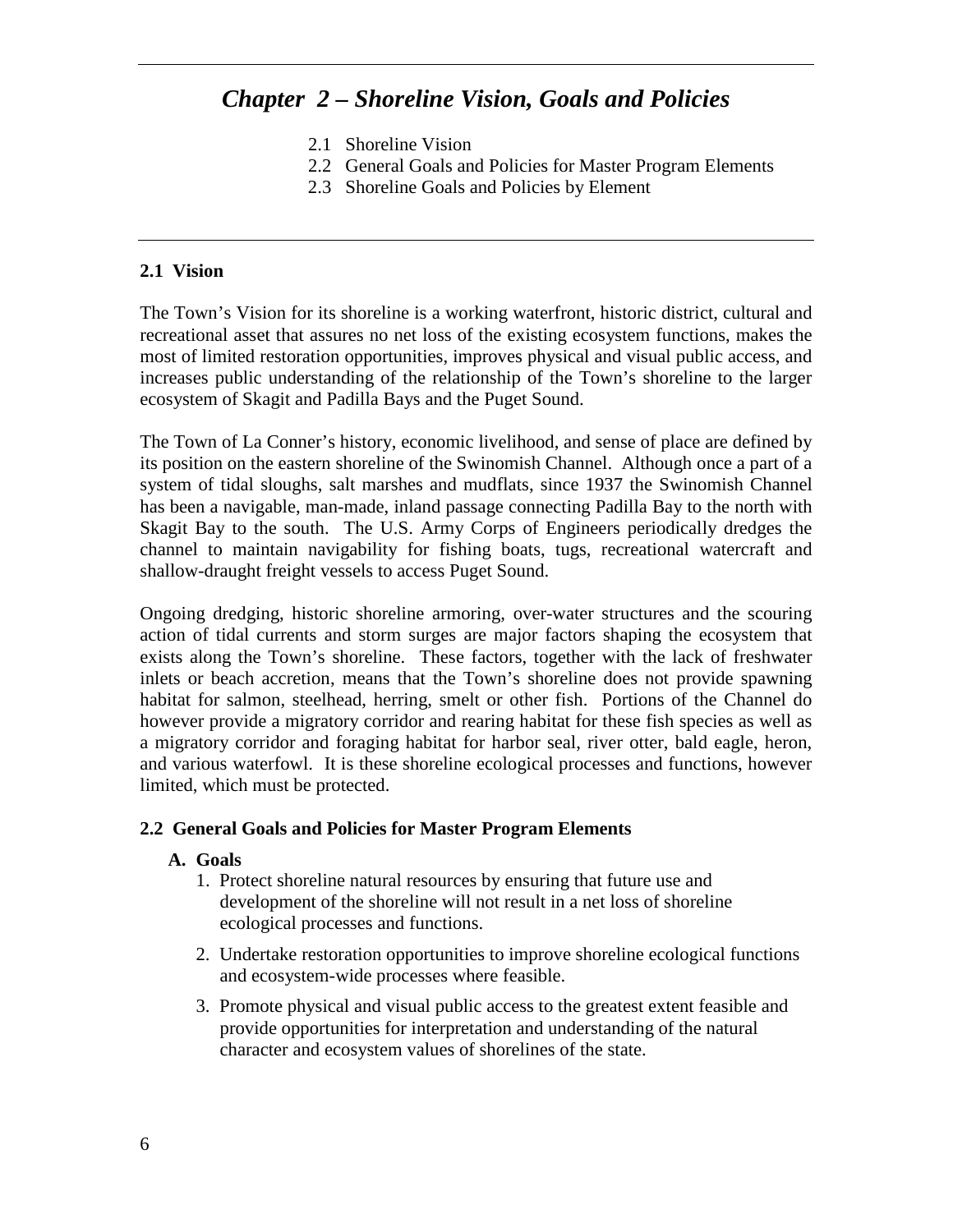# *Chapter 2 – Shoreline Vision, Goals and Policies*

- 2.1 Shoreline Vision
- 2.2 General Goals and Policies for Master Program Elements
- 2.3 Shoreline Goals and Policies by Element

#### **2.1 Vision**

The Town's Vision for its shoreline is a working waterfront, historic district, cultural and recreational asset that assures no net loss of the existing ecosystem functions, makes the most of limited restoration opportunities, improves physical and visual public access, and increases public understanding of the relationship of the Town's shoreline to the larger ecosystem of Skagit and Padilla Bays and the Puget Sound.

The Town of La Conner's history, economic livelihood, and sense of place are defined by its position on the eastern shoreline of the Swinomish Channel. Although once a part of a system of tidal sloughs, salt marshes and mudflats, since 1937 the Swinomish Channel has been a navigable, man-made, inland passage connecting Padilla Bay to the north with Skagit Bay to the south. The U.S. Army Corps of Engineers periodically dredges the channel to maintain navigability for fishing boats, tugs, recreational watercraft and shallow-draught freight vessels to access Puget Sound.

Ongoing dredging, historic shoreline armoring, over-water structures and the scouring action of tidal currents and storm surges are major factors shaping the ecosystem that exists along the Town's shoreline. These factors, together with the lack of freshwater inlets or beach accretion, means that the Town's shoreline does not provide spawning habitat for salmon, steelhead, herring, smelt or other fish. Portions of the Channel do however provide a migratory corridor and rearing habitat for these fish species as well as a migratory corridor and foraging habitat for harbor seal, river otter, bald eagle, heron, and various waterfowl. It is these shoreline ecological processes and functions, however limited, which must be protected.

### **2.2 General Goals and Policies for Master Program Elements**

#### **A. Goals**

- 1. Protect shoreline natural resources by ensuring that future use and development of the shoreline will not result in a net loss of shoreline ecological processes and functions.
- 2. Undertake restoration opportunities to improve shoreline ecological functions and ecosystem-wide processes where feasible.
- 3. Promote physical and visual public access to the greatest extent feasible and provide opportunities for interpretation and understanding of the natural character and ecosystem values of shorelines of the state.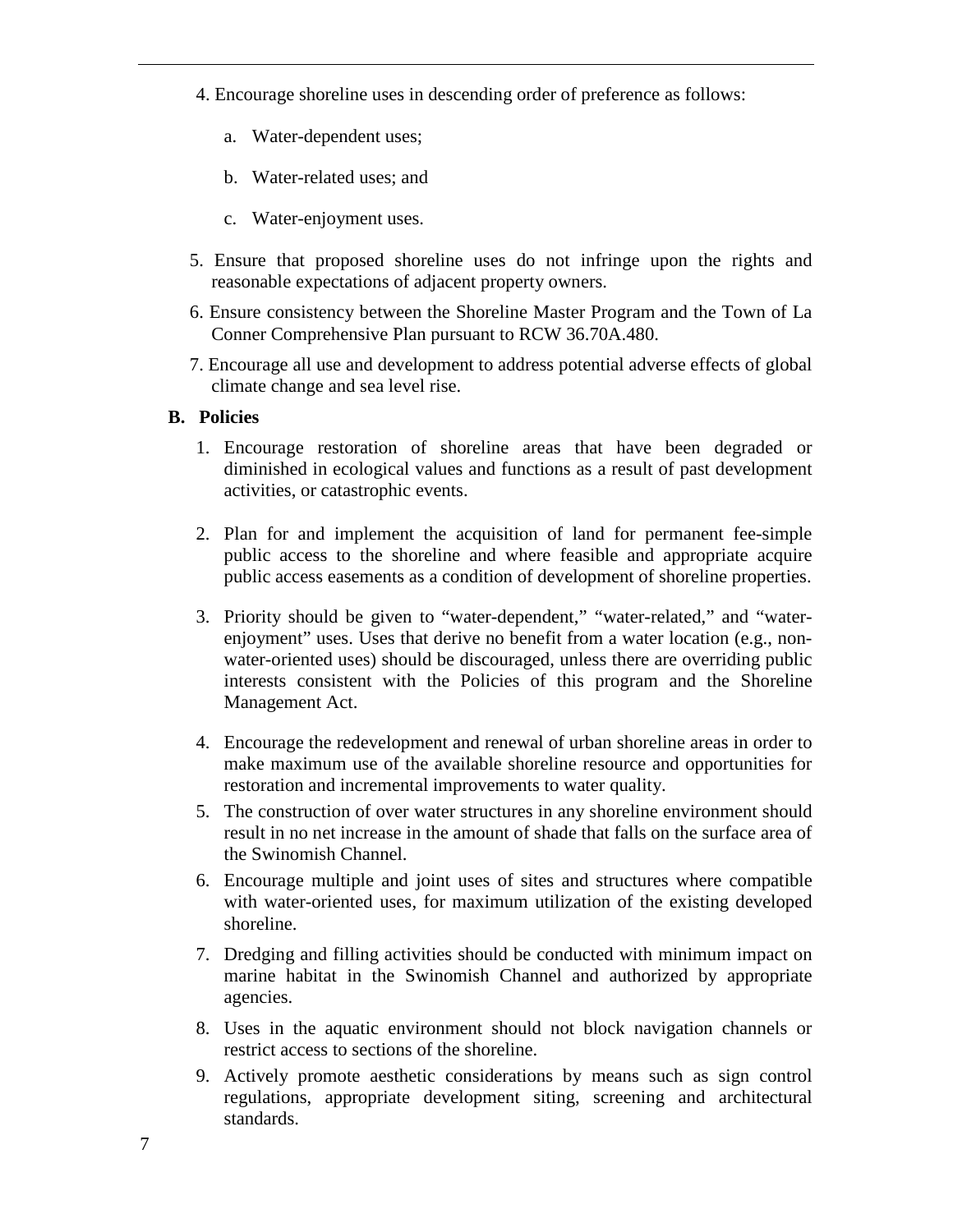- 4. Encourage shoreline uses in descending order of preference as follows:
	- a. Water-dependent uses;
	- b. Water-related uses; and
	- c. Water-enjoyment uses.
- 5. Ensure that proposed shoreline uses do not infringe upon the rights and reasonable expectations of adjacent property owners.
- 6. Ensure consistency between the Shoreline Master Program and the Town of La Conner Comprehensive Plan pursuant to RCW 36.70A.480.
- 7. Encourage all use and development to address potential adverse effects of global climate change and sea level rise.

- 1. Encourage restoration of shoreline areas that have been degraded or diminished in ecological values and functions as a result of past development activities, or catastrophic events.
- 2. Plan for and implement the acquisition of land for permanent fee-simple public access to the shoreline and where feasible and appropriate acquire public access easements as a condition of development of shoreline properties.
- 3. Priority should be given to "water-dependent," "water-related," and "waterenjoyment" uses. Uses that derive no benefit from a water location (e.g., nonwater-oriented uses) should be discouraged, unless there are overriding public interests consistent with the Policies of this program and the Shoreline Management Act.
- 4. Encourage the redevelopment and renewal of urban shoreline areas in order to make maximum use of the available shoreline resource and opportunities for restoration and incremental improvements to water quality.
- 5. The construction of over water structures in any shoreline environment should result in no net increase in the amount of shade that falls on the surface area of the Swinomish Channel.
- 6. Encourage multiple and joint uses of sites and structures where compatible with water-oriented uses, for maximum utilization of the existing developed shoreline.
- 7. Dredging and filling activities should be conducted with minimum impact on marine habitat in the Swinomish Channel and authorized by appropriate agencies.
- 8. Uses in the aquatic environment should not block navigation channels or restrict access to sections of the shoreline.
- 9. Actively promote aesthetic considerations by means such as sign control regulations, appropriate development siting, screening and architectural standards.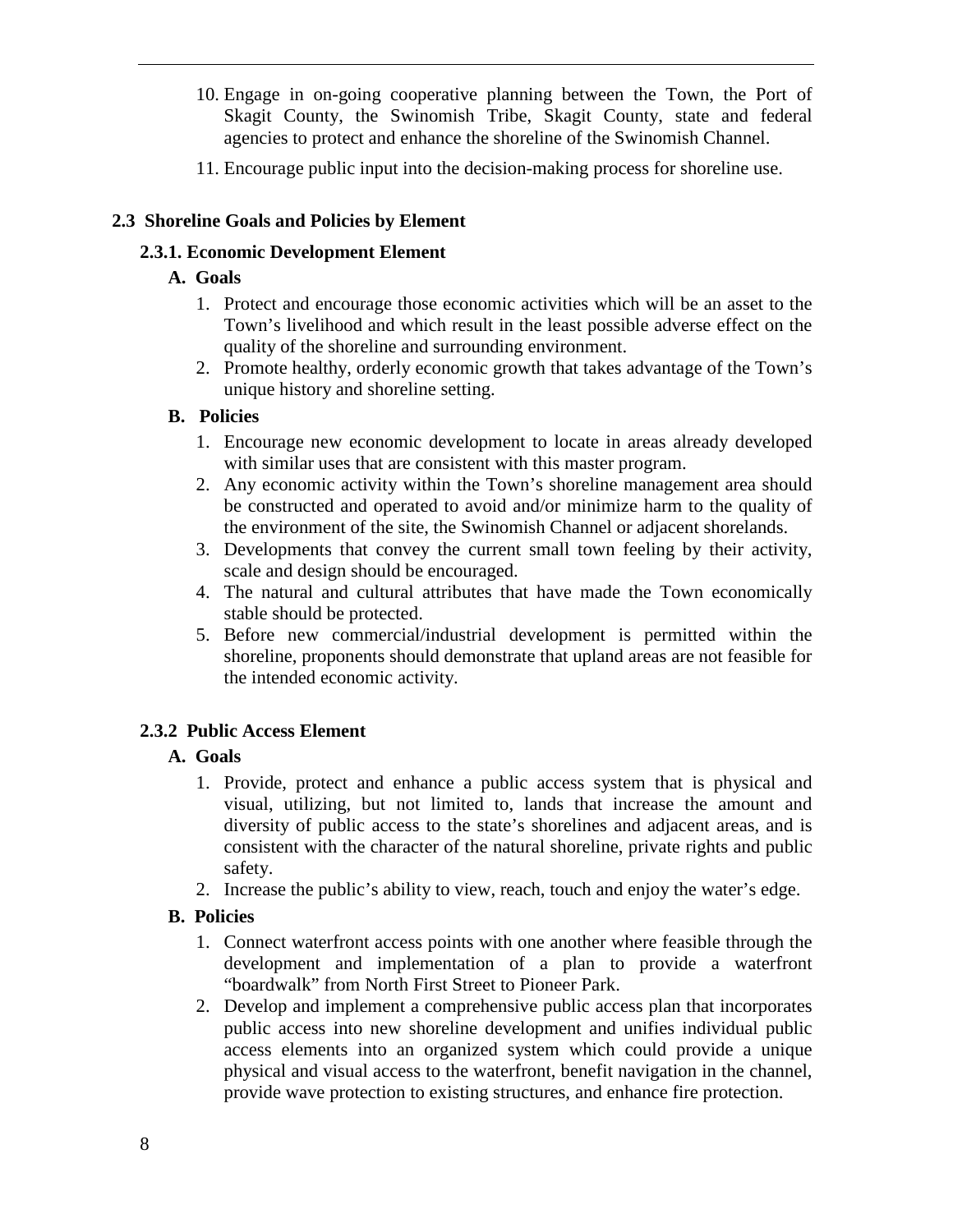- 10. Engage in on-going cooperative planning between the Town, the Port of Skagit County, the Swinomish Tribe, Skagit County, state and federal agencies to protect and enhance the shoreline of the Swinomish Channel.
- 11. Encourage public input into the decision-making process for shoreline use.

### **2.3 Shoreline Goals and Policies by Element**

### **2.3.1. Economic Development Element**

### **A. Goals**

- 1. Protect and encourage those economic activities which will be an asset to the Town's livelihood and which result in the least possible adverse effect on the quality of the shoreline and surrounding environment.
- 2. Promote healthy, orderly economic growth that takes advantage of the Town's unique history and shoreline setting.

### **B. Policies**

- 1. Encourage new economic development to locate in areas already developed with similar uses that are consistent with this master program.
- 2. Any economic activity within the Town's shoreline management area should be constructed and operated to avoid and/or minimize harm to the quality of the environment of the site, the Swinomish Channel or adjacent shorelands.
- 3. Developments that convey the current small town feeling by their activity, scale and design should be encouraged.
- 4. The natural and cultural attributes that have made the Town economically stable should be protected.
- 5. Before new commercial/industrial development is permitted within the shoreline, proponents should demonstrate that upland areas are not feasible for the intended economic activity.

# **2.3.2 Public Access Element**

### **A. Goals**

- 1. Provide, protect and enhance a public access system that is physical and visual, utilizing, but not limited to, lands that increase the amount and diversity of public access to the state's shorelines and adjacent areas, and is consistent with the character of the natural shoreline, private rights and public safety.
- 2. Increase the public's ability to view, reach, touch and enjoy the water's edge.

- 1. Connect waterfront access points with one another where feasible through the development and implementation of a plan to provide a waterfront "boardwalk" from North First Street to Pioneer Park.
- 2. Develop and implement a comprehensive public access plan that incorporates public access into new shoreline development and unifies individual public access elements into an organized system which could provide a unique physical and visual access to the waterfront, benefit navigation in the channel, provide wave protection to existing structures, and enhance fire protection.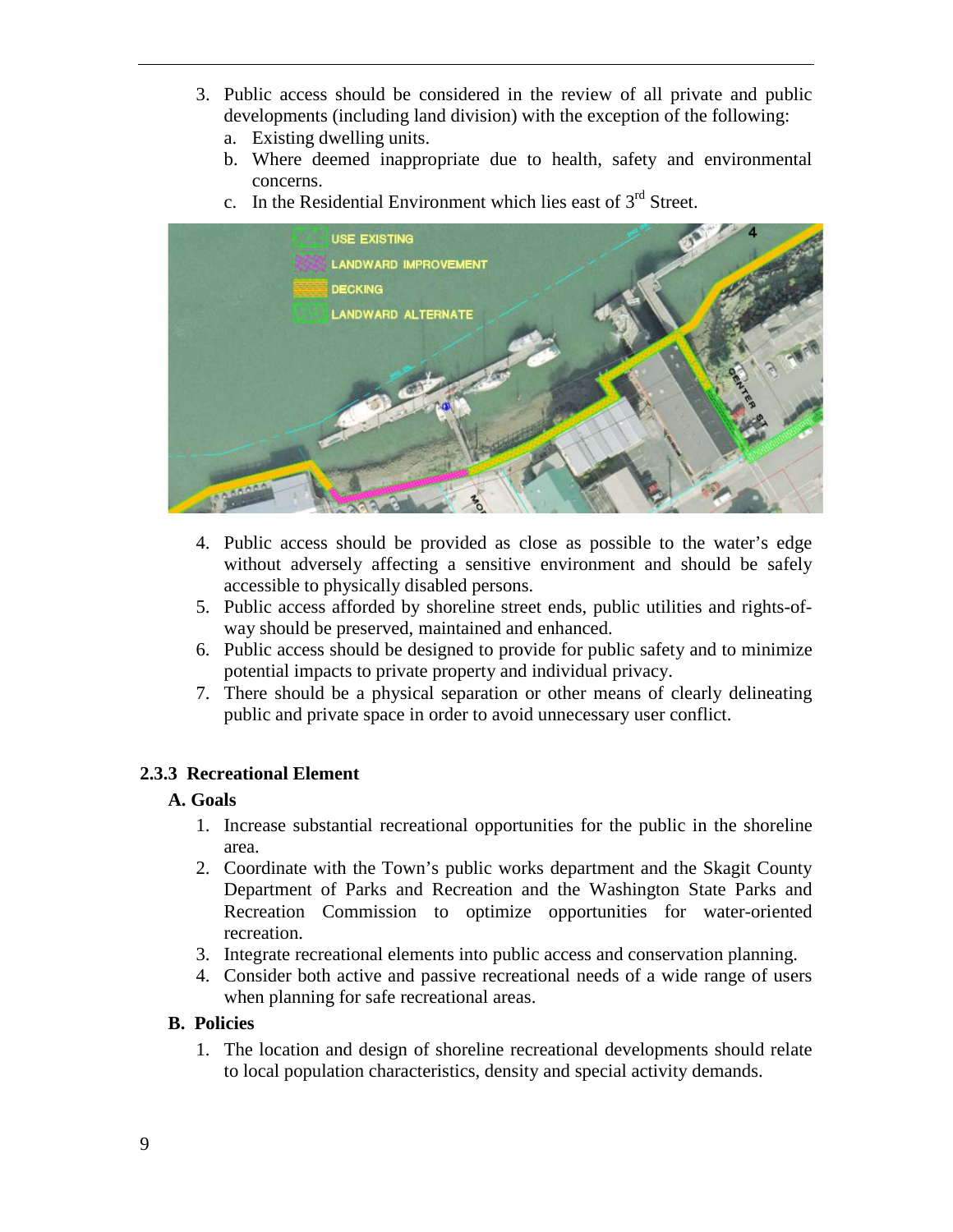- 3. Public access should be considered in the review of all private and public developments (including land division) with the exception of the following:
	- a. Existing dwelling units.
	- b. Where deemed inappropriate due to health, safety and environmental concerns.
	- c. In the Residential Environment which lies east of  $3<sup>rd</sup>$  Street.



- 4. Public access should be provided as close as possible to the water's edge without adversely affecting a sensitive environment and should be safely accessible to physically disabled persons.
- 5. Public access afforded by shoreline street ends, public utilities and rights-ofway should be preserved, maintained and enhanced.
- 6. Public access should be designed to provide for public safety and to minimize potential impacts to private property and individual privacy.
- 7. There should be a physical separation or other means of clearly delineating public and private space in order to avoid unnecessary user conflict.

### **2.3.3 Recreational Element**

### **A. Goals**

- 1. Increase substantial recreational opportunities for the public in the shoreline area.
- 2. Coordinate with the Town's public works department and the Skagit County Department of Parks and Recreation and the Washington State Parks and Recreation Commission to optimize opportunities for water-oriented recreation.
- 3. Integrate recreational elements into public access and conservation planning.
- 4. Consider both active and passive recreational needs of a wide range of users when planning for safe recreational areas.

#### **B. Policies**

1. The location and design of shoreline recreational developments should relate to local population characteristics, density and special activity demands.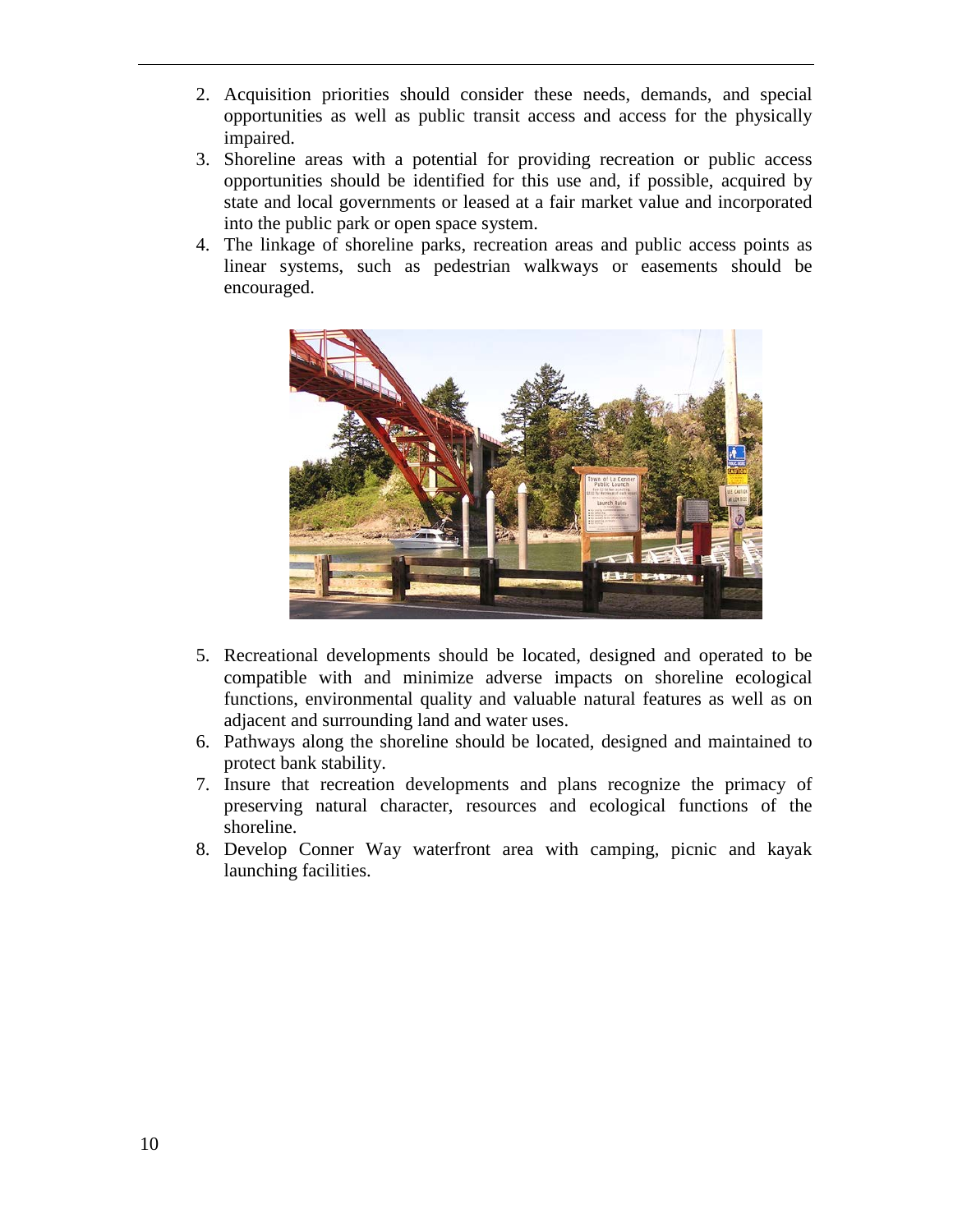- 2. Acquisition priorities should consider these needs, demands, and special opportunities as well as public transit access and access for the physically impaired.
- 3. Shoreline areas with a potential for providing recreation or public access opportunities should be identified for this use and, if possible, acquired by state and local governments or leased at a fair market value and incorporated into the public park or open space system.
- 4. The linkage of shoreline parks, recreation areas and public access points as linear systems, such as pedestrian walkways or easements should be encouraged.



- 5. Recreational developments should be located, designed and operated to be compatible with and minimize adverse impacts on shoreline ecological functions, environmental quality and valuable natural features as well as on adjacent and surrounding land and water uses.
- 6. Pathways along the shoreline should be located, designed and maintained to protect bank stability.
- 7. Insure that recreation developments and plans recognize the primacy of preserving natural character, resources and ecological functions of the shoreline.
- 8. Develop Conner Way waterfront area with camping, picnic and kayak launching facilities.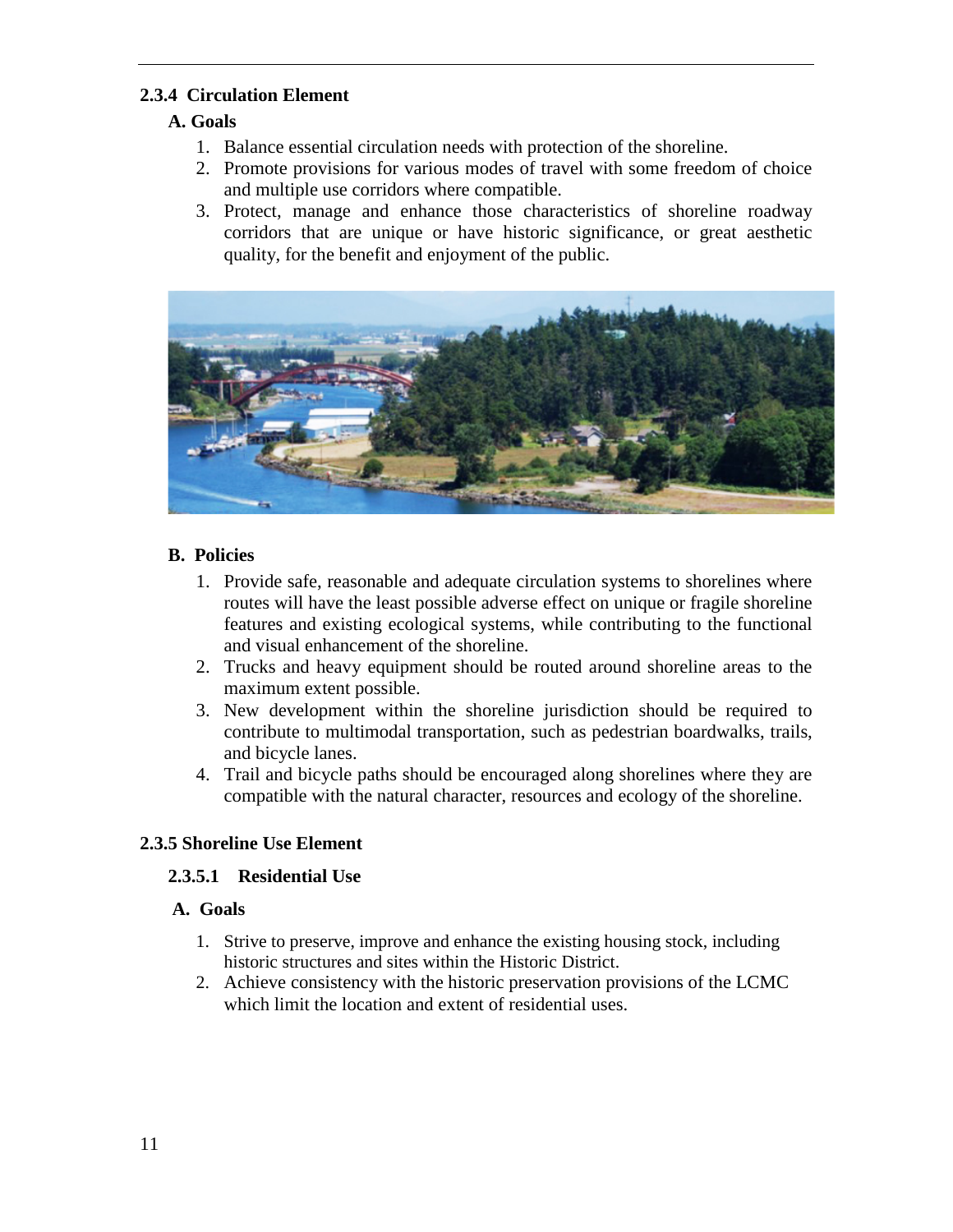### **2.3.4 Circulation Element**

### **A. Goals**

- 1. Balance essential circulation needs with protection of the shoreline.
- 2. Promote provisions for various modes of travel with some freedom of choice and multiple use corridors where compatible.
- 3. Protect, manage and enhance those characteristics of shoreline roadway corridors that are unique or have historic significance, or great aesthetic quality, for the benefit and enjoyment of the public.



### **B. Policies**

- 1. Provide safe, reasonable and adequate circulation systems to shorelines where routes will have the least possible adverse effect on unique or fragile shoreline features and existing ecological systems, while contributing to the functional and visual enhancement of the shoreline.
- 2. Trucks and heavy equipment should be routed around shoreline areas to the maximum extent possible.
- 3. New development within the shoreline jurisdiction should be required to contribute to multimodal transportation, such as pedestrian boardwalks, trails, and bicycle lanes.
- 4. Trail and bicycle paths should be encouraged along shorelines where they are compatible with the natural character, resources and ecology of the shoreline.

# **2.3.5 Shoreline Use Element**

### **2.3.5.1 Residential Use**

### **A. Goals**

- 1. Strive to preserve, improve and enhance the existing housing stock, including historic structures and sites within the Historic District.
- 2. Achieve consistency with the historic preservation provisions of the LCMC which limit the location and extent of residential uses.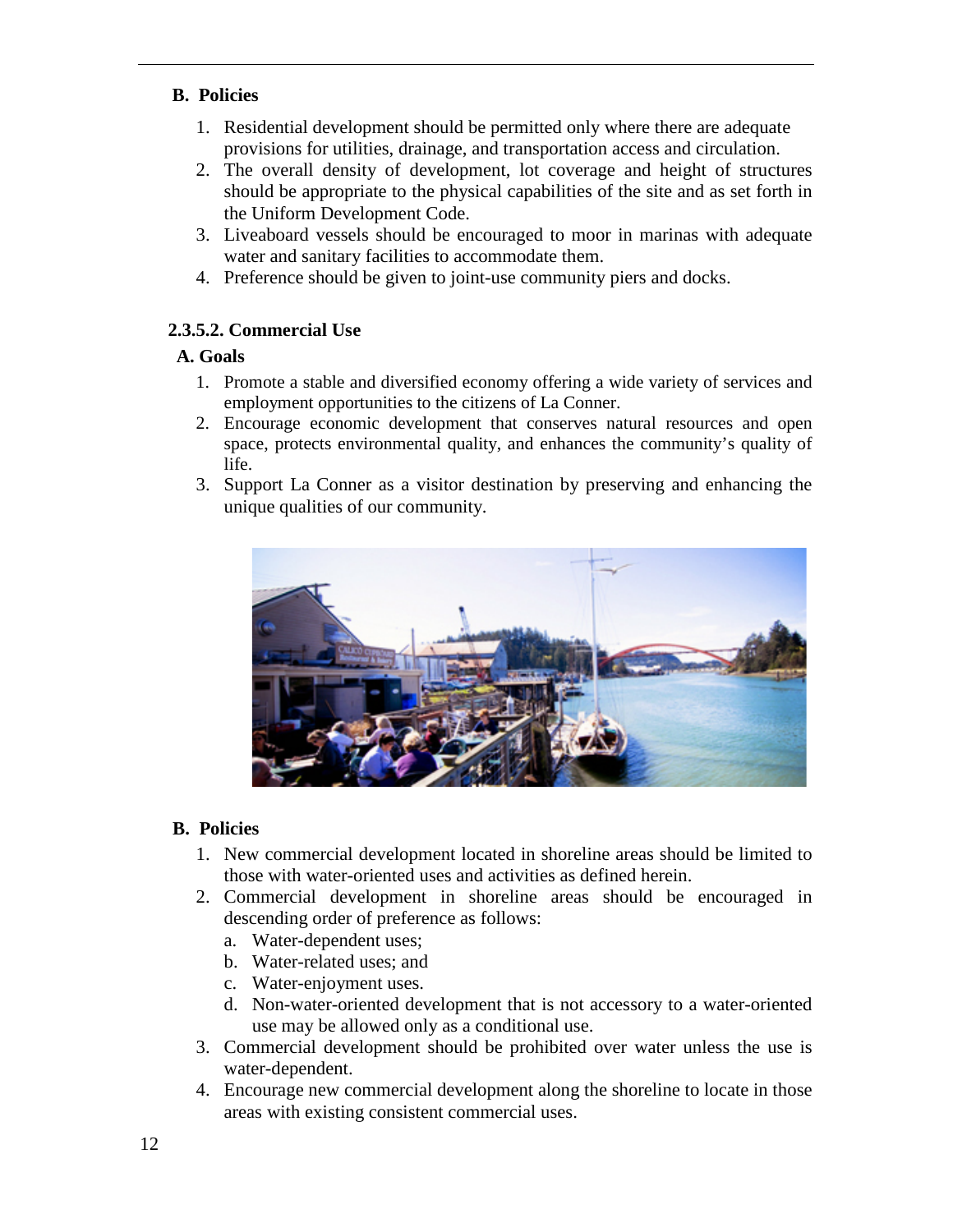### **B. Policies**

- 1. Residential development should be permitted only where there are adequate provisions for utilities, drainage, and transportation access and circulation.
- 2. The overall density of development, lot coverage and height of structures should be appropriate to the physical capabilities of the site and as set forth in the Uniform Development Code.
- 3. Liveaboard vessels should be encouraged to moor in marinas with adequate water and sanitary facilities to accommodate them.
- 4. Preference should be given to joint-use community piers and docks.

# **2.3.5.2. Commercial Use**

# **A. Goals**

- 1. Promote a stable and diversified economy offering a wide variety of services and employment opportunities to the citizens of La Conner.
- 2. Encourage economic development that conserves natural resources and open space, protects environmental quality, and enhances the community's quality of life.
- 3. Support La Conner as a visitor destination by preserving and enhancing the unique qualities of our community.



- 1. New commercial development located in shoreline areas should be limited to those with water-oriented uses and activities as defined herein.
- 2. Commercial development in shoreline areas should be encouraged in descending order of preference as follows:
	- a. Water-dependent uses;
	- b. Water-related uses; and
	- c. Water-enjoyment uses.
	- d. Non-water-oriented development that is not accessory to a water-oriented use may be allowed only as a conditional use.
- 3. Commercial development should be prohibited over water unless the use is water-dependent.
- 4. Encourage new commercial development along the shoreline to locate in those areas with existing consistent commercial uses.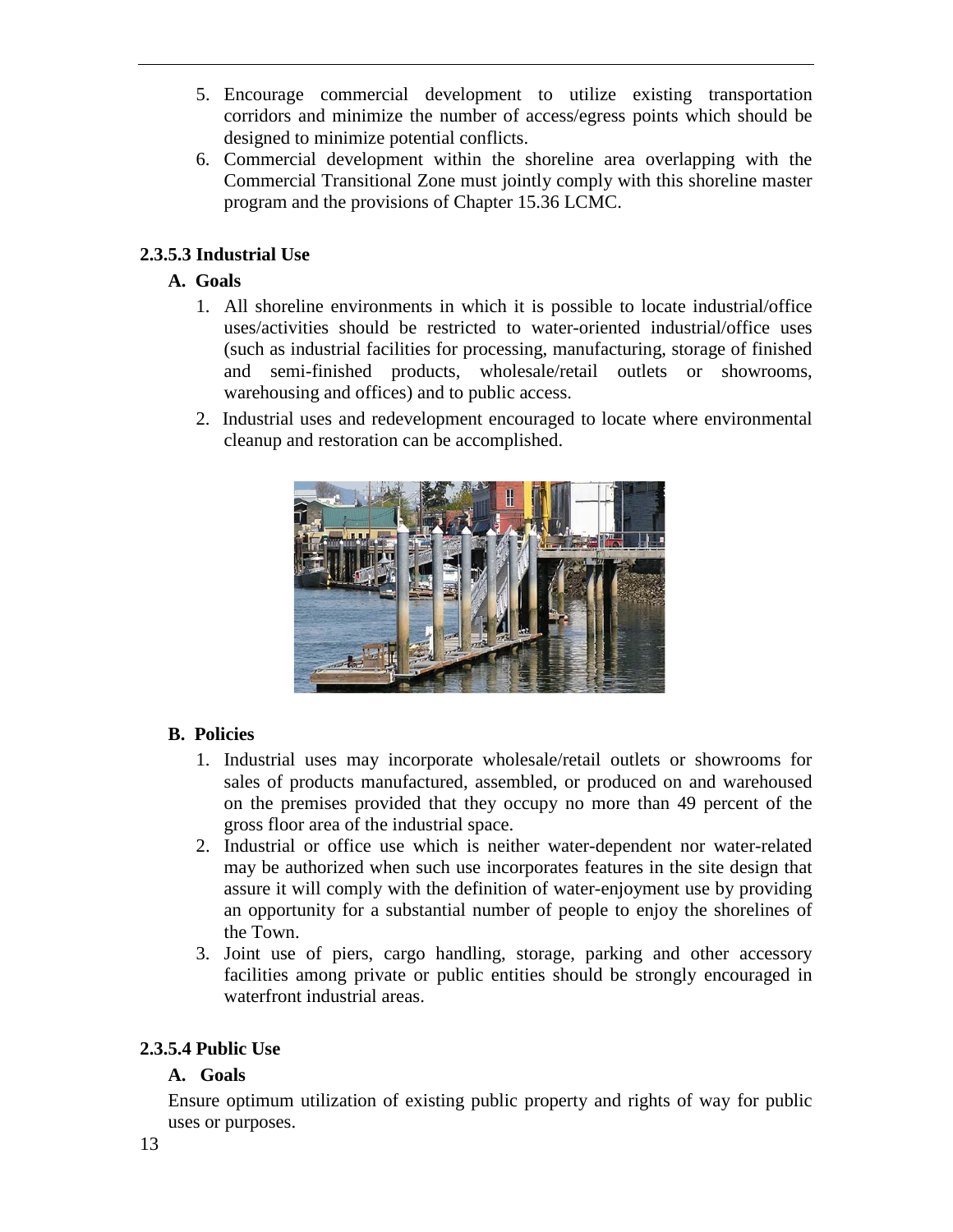- 5. Encourage commercial development to utilize existing transportation corridors and minimize the number of access/egress points which should be designed to minimize potential conflicts.
- 6. Commercial development within the shoreline area overlapping with the Commercial Transitional Zone must jointly comply with this shoreline master program and the provisions of Chapter 15.36 LCMC.

# **2.3.5.3 Industrial Use**

# **A. Goals**

- 1. All shoreline environments in which it is possible to locate industrial/office uses/activities should be restricted to water-oriented industrial/office uses (such as industrial facilities for processing, manufacturing, storage of finished and semi-finished products, wholesale/retail outlets or showrooms, warehousing and offices) and to public access.
- 2. Industrial uses and redevelopment encouraged to locate where environmental cleanup and restoration can be accomplished.



# **B. Policies**

- 1. Industrial uses may incorporate wholesale/retail outlets or showrooms for sales of products manufactured, assembled, or produced on and warehoused on the premises provided that they occupy no more than 49 percent of the gross floor area of the industrial space.
- 2. Industrial or office use which is neither water-dependent nor water-related may be authorized when such use incorporates features in the site design that assure it will comply with the definition of water-enjoyment use by providing an opportunity for a substantial number of people to enjoy the shorelines of the Town.
- 3. Joint use of piers, cargo handling, storage, parking and other accessory facilities among private or public entities should be strongly encouraged in waterfront industrial areas.

# **2.3.5.4 Public Use**

### **A. Goals**

Ensure optimum utilization of existing public property and rights of way for public uses or purposes.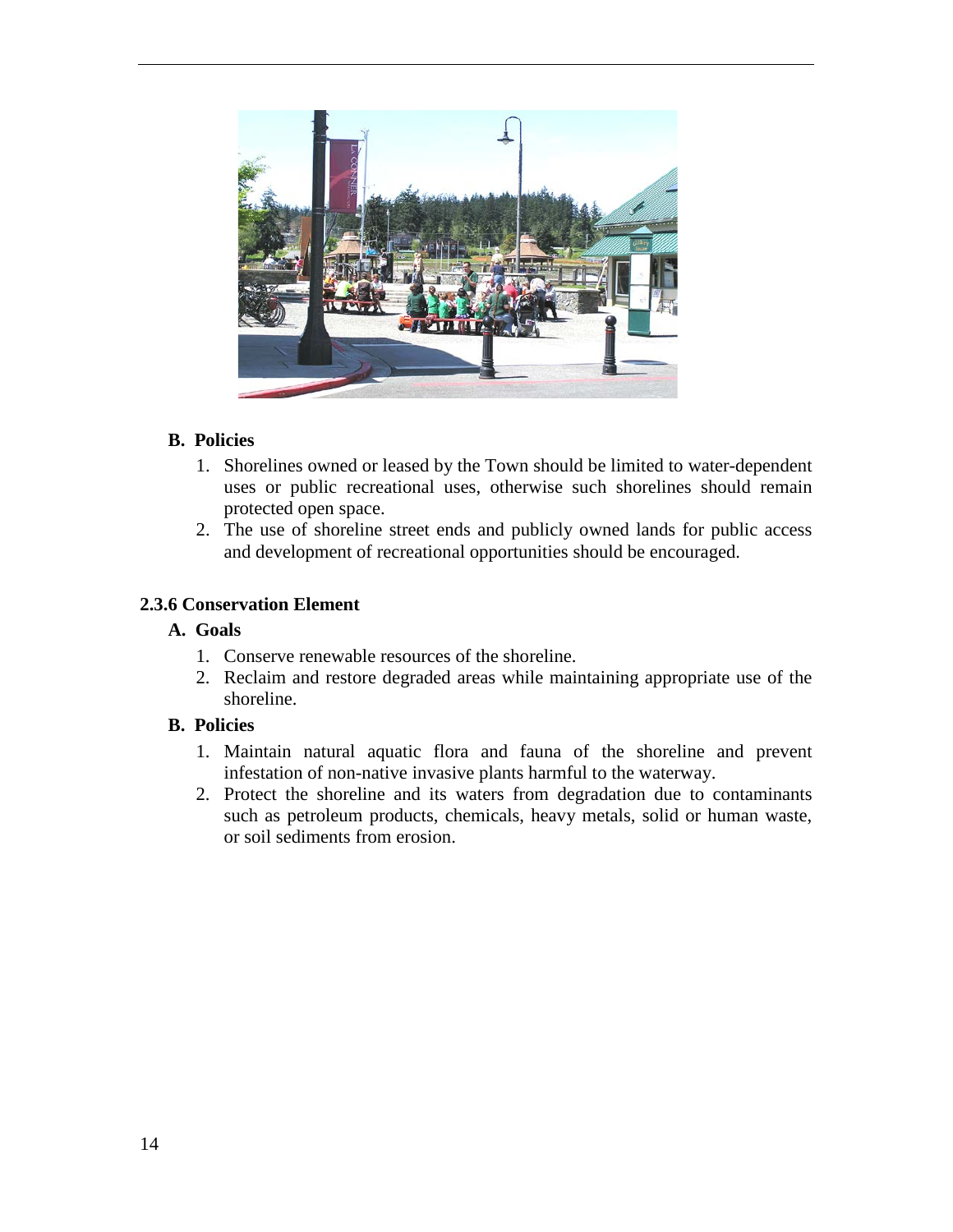

#### **B. Policies**

- 1. Shorelines owned or leased by the Town should be limited to water-dependent uses or public recreational uses, otherwise such shorelines should remain protected open space.
- 2. The use of shoreline street ends and publicly owned lands for public access and development of recreational opportunities should be encouraged.

#### **2.3.6 Conservation Element**

#### **A. Goals**

- 1. Conserve renewable resources of the shoreline.
- 2. Reclaim and restore degraded areas while maintaining appropriate use of the shoreline.

- 1. Maintain natural aquatic flora and fauna of the shoreline and prevent infestation of non-native invasive plants harmful to the waterway.
- 2. Protect the shoreline and its waters from degradation due to contaminants such as petroleum products, chemicals, heavy metals, solid or human waste, or soil sediments from erosion.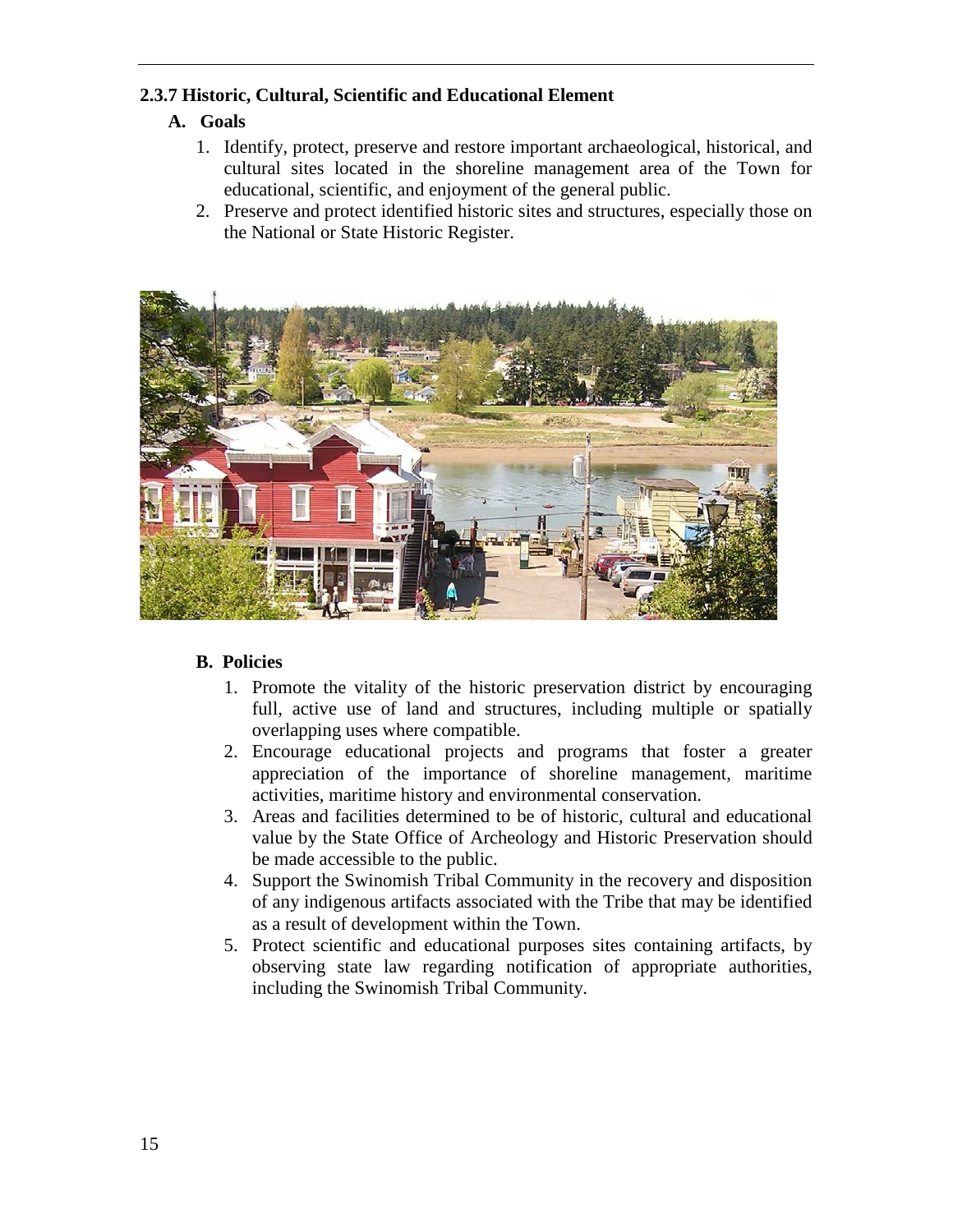### **2.3.7 Historic, Cultural, Scientific and Educational Element**

# **A. Goals**

- 1. Identify, protect, preserve and restore important archaeological, historical, and cultural sites located in the shoreline management area of the Town for educational, scientific, and enjoyment of the general public.
- 2. Preserve and protect identified historic sites and structures, especially those on the National or State Historic Register.



- 1. Promote the vitality of the historic preservation district by encouraging full, active use of land and structures, including multiple or spatially overlapping uses where compatible.
- 2. Encourage educational projects and programs that foster a greater appreciation of the importance of shoreline management, maritime activities, maritime history and environmental conservation.
- 3. Areas and facilities determined to be of historic, cultural and educational value by the State Office of Archeology and Historic Preservation should be made accessible to the public.
- 4. Support the Swinomish Tribal Community in the recovery and disposition of any indigenous artifacts associated with the Tribe that may be identified as a result of development within the Town.
- 5. Protect scientific and educational purposes sites containing artifacts, by observing state law regarding notification of appropriate authorities, including the Swinomish Tribal Community.